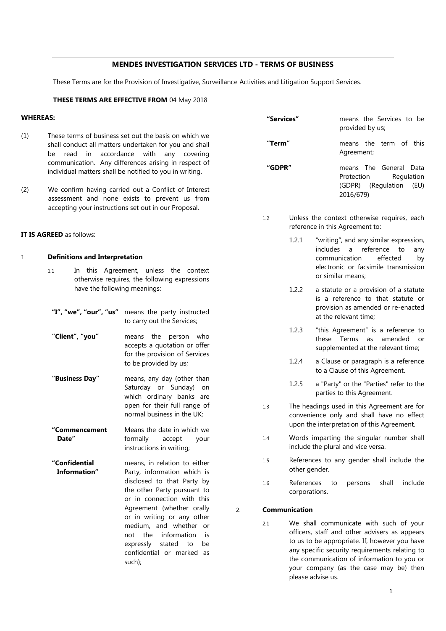# **MENDES INVESTIGATION SERVICES LTD - TERMS OF BUSINESS**

These Terms are for the Provision of Investigative, Surveillance Activities and Litigation Support Services.

# **THESE TERMS ARE EFFECTIVE FROM** 04 May 2018

| <b>WHEREAS:</b>                 |                                                                                                                                                               |                                                                                                                                                                                                                                                                                                                                                          |        | "Services"    |                                                                                                                                                                                                                                                                                                         | means the Services to be<br>provided by us;                                                                                            |
|---------------------------------|---------------------------------------------------------------------------------------------------------------------------------------------------------------|----------------------------------------------------------------------------------------------------------------------------------------------------------------------------------------------------------------------------------------------------------------------------------------------------------------------------------------------------------|--------|---------------|---------------------------------------------------------------------------------------------------------------------------------------------------------------------------------------------------------------------------------------------------------------------------------------------------------|----------------------------------------------------------------------------------------------------------------------------------------|
| (1)                             | be                                                                                                                                                            | These terms of business set out the basis on which we<br>shall conduct all matters undertaken for you and shall<br>read in accordance with any covering                                                                                                                                                                                                  |        | "Term"        |                                                                                                                                                                                                                                                                                                         | means the term of this<br>Agreement;                                                                                                   |
|                                 | communication. Any differences arising in respect of<br>individual matters shall be notified to you in writing.                                               |                                                                                                                                                                                                                                                                                                                                                          | "GDPR" |               |                                                                                                                                                                                                                                                                                                         | means The General Data<br>Protection<br>Regulation                                                                                     |
| (2)                             | We confirm having carried out a Conflict of Interest<br>assessment and none exists to prevent us from<br>accepting your instructions set out in our Proposal. |                                                                                                                                                                                                                                                                                                                                                          |        |               |                                                                                                                                                                                                                                                                                                         | (GDPR) (Regulation<br>(EU)<br>2016/679)                                                                                                |
|                                 |                                                                                                                                                               |                                                                                                                                                                                                                                                                                                                                                          |        | 1.2           | Unless the context otherwise requires, each<br>reference in this Agreement to:                                                                                                                                                                                                                          |                                                                                                                                        |
| <b>IT IS AGREED</b> as follows: |                                                                                                                                                               |                                                                                                                                                                                                                                                                                                                                                          |        |               | 1.2.1                                                                                                                                                                                                                                                                                                   | "writing", and any similar expression,<br>includes a reference to<br>any                                                               |
| 1.                              | 1.1                                                                                                                                                           | <b>Definitions and Interpretation</b><br>In this Agreement, unless the context<br>otherwise requires, the following expressions                                                                                                                                                                                                                          |        |               |                                                                                                                                                                                                                                                                                                         | communication<br>effected<br>by<br>electronic or facsimile transmission<br>or similar means;                                           |
|                                 | have the following meanings:                                                                                                                                  |                                                                                                                                                                                                                                                                                                                                                          |        |               | 1.2.2                                                                                                                                                                                                                                                                                                   | a statute or a provision of a statute<br>is a reference to that statute or<br>provision as amended or re-enacted                       |
|                                 |                                                                                                                                                               | "I", "we", "our", "us" means the party instructed<br>to carry out the Services;                                                                                                                                                                                                                                                                          |        |               |                                                                                                                                                                                                                                                                                                         | at the relevant time:                                                                                                                  |
|                                 | "Client", "you"                                                                                                                                               | means the person who<br>accepts a quotation or offer<br>for the provision of Services                                                                                                                                                                                                                                                                    |        |               | 1.2.3                                                                                                                                                                                                                                                                                                   | "this Agreement" is a reference to<br>these Terms as amended or<br>supplemented at the relevant time;                                  |
|                                 |                                                                                                                                                               | to be provided by us;                                                                                                                                                                                                                                                                                                                                    |        |               | 1.2.4                                                                                                                                                                                                                                                                                                   | a Clause or paragraph is a reference<br>to a Clause of this Agreement.                                                                 |
|                                 | "Business Day"                                                                                                                                                | means, any day (other than<br>Saturday or Sunday) on<br>which ordinary banks are                                                                                                                                                                                                                                                                         |        |               | 1.2.5                                                                                                                                                                                                                                                                                                   | a "Party" or the "Parties" refer to the<br>parties to this Agreement.                                                                  |
|                                 |                                                                                                                                                               | open for their full range of<br>normal business in the UK;                                                                                                                                                                                                                                                                                               |        | 1.3<br>1.4    |                                                                                                                                                                                                                                                                                                         | The headings used in this Agreement are for<br>convenience only and shall have no effect<br>upon the interpretation of this Agreement. |
|                                 | "Commencement<br>Date"                                                                                                                                        | Means the date in which we<br>formally<br>accept<br>your<br>instructions in writing;                                                                                                                                                                                                                                                                     |        |               |                                                                                                                                                                                                                                                                                                         | Words imparting the singular number shall<br>include the plural and vice versa.                                                        |
|                                 | "Confidential<br>Information"                                                                                                                                 | means, in relation to either<br>Party, information which is<br>disclosed to that Party by<br>the other Party pursuant to<br>or in connection with this<br>Agreement (whether orally<br>or in writing or any other<br>medium, and whether or<br>information<br>the<br>not<br>is<br>expressly<br>stated<br>to<br>be<br>confidential or marked as<br>such); |        | 1.5           | other gender.                                                                                                                                                                                                                                                                                           | References to any gender shall include the                                                                                             |
|                                 |                                                                                                                                                               |                                                                                                                                                                                                                                                                                                                                                          |        | 1.6           | References<br>include<br>to<br>persons<br>shall<br>corporations.                                                                                                                                                                                                                                        |                                                                                                                                        |
|                                 |                                                                                                                                                               |                                                                                                                                                                                                                                                                                                                                                          | 2.     | Communication |                                                                                                                                                                                                                                                                                                         |                                                                                                                                        |
|                                 |                                                                                                                                                               |                                                                                                                                                                                                                                                                                                                                                          |        | 2.1           | We shall communicate with such of your<br>officers, staff and other advisers as appears<br>to us to be appropriate. If, however you have<br>any specific security requirements relating to<br>the communication of information to you or<br>your company (as the case may be) then<br>please advise us. |                                                                                                                                        |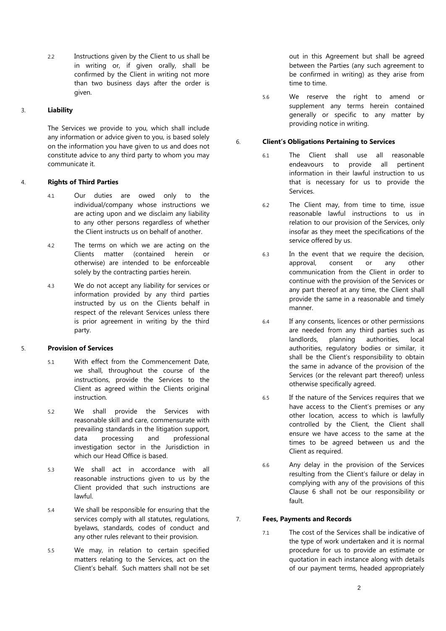2.2 Instructions given by the Client to us shall be in writing or, if given orally, shall be confirmed by the Client in writing not more than two business days after the order is given.

# 3. **Liability**

The Services we provide to you, which shall include any information or advice given to you, is based solely on the information you have given to us and does not constitute advice to any third party to whom you may communicate it.

### 4. **Rights of Third Parties**

- 4.1 Our duties are owed only to the individual/company whose instructions we are acting upon and we disclaim any liability to any other persons regardless of whether the Client instructs us on behalf of another.
- 4.2 The terms on which we are acting on the Clients matter (contained herein or otherwise) are intended to be enforceable solely by the contracting parties herein.
- 4.3 We do not accept any liability for services or information provided by any third parties instructed by us on the Clients behalf in respect of the relevant Services unless there is prior agreement in writing by the third party.

# 5. **Provision of Services**

- 5.1 With effect from the Commencement Date, we shall, throughout the course of the instructions, provide the Services to the Client as agreed within the Clients original instruction.
- 5.2 We shall provide the Services with reasonable skill and care, commensurate with prevailing standards in the litigation support, data processing and professional investigation sector in the Jurisdiction in which our Head Office is based.
- 5.3 We shall act in accordance with all reasonable instructions given to us by the Client provided that such instructions are lawful.
- 5.4 We shall be responsible for ensuring that the services comply with all statutes, regulations, byelaws, standards, codes of conduct and any other rules relevant to their provision.
- 5.5 We may, in relation to certain specified matters relating to the Services, act on the Client's behalf. Such matters shall not be set

out in this Agreement but shall be agreed between the Parties (any such agreement to be confirmed in writing) as they arise from time to time.

5.6 We reserve the right to amend or supplement any terms herein contained generally or specific to any matter by providing notice in writing.

### 6. **Client's Obligations Pertaining to Services**

- 6.1 The Client shall use all reasonable endeavours to provide all pertinent information in their lawful instruction to us that is necessary for us to provide the Services.
- 6.2 The Client may, from time to time, issue reasonable lawful instructions to us in relation to our provision of the Services, only insofar as they meet the specifications of the service offered by us.
- 6.3 In the event that we require the decision, approval, consent or any other communication from the Client in order to continue with the provision of the Services or any part thereof at any time, the Client shall provide the same in a reasonable and timely manner.
- 6.4 If any consents, licences or other permissions are needed from any third parties such as landlords, planning authorities, local authorities, regulatory bodies or similar, it shall be the Client's responsibility to obtain the same in advance of the provision of the Services (or the relevant part thereof) unless otherwise specifically agreed.
- 6.5 If the nature of the Services requires that we have access to the Client's premises or any other location, access to which is lawfully controlled by the Client, the Client shall ensure we have access to the same at the times to be agreed between us and the Client as required.
- 6.6 Any delay in the provision of the Services resulting from the Client's failure or delay in complying with any of the provisions of this Clause 6 shall not be our responsibility or fault.

### 7. **Fees, Payments and Records**

7.1 The cost of the Services shall be indicative of the type of work undertaken and it is normal procedure for us to provide an estimate or quotation in each instance along with details of our payment terms, headed appropriately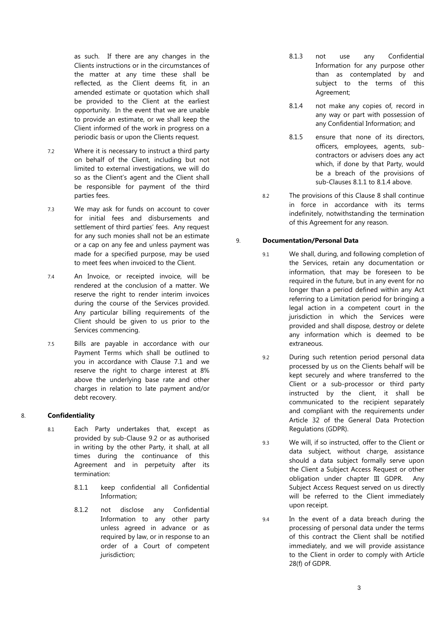as such. If there are any changes in the Clients instructions or in the circumstances of the matter at any time these shall be reflected, as the Client deems fit, in an amended estimate or quotation which shall be provided to the Client at the earliest opportunity. In the event that we are unable to provide an estimate, or we shall keep the Client informed of the work in progress on a periodic basis or upon the Clients request.

- 7.2 Where it is necessary to instruct a third party on behalf of the Client, including but not limited to external investigations, we will do so as the Client's agent and the Client shall be responsible for payment of the third parties fees.
- 7.3 We may ask for funds on account to cover for initial fees and disbursements and settlement of third parties' fees. Any request for any such monies shall not be an estimate or a cap on any fee and unless payment was made for a specified purpose, may be used to meet fees when invoiced to the Client.
- 7.4 An Invoice, or receipted invoice, will be rendered at the conclusion of a matter. We reserve the right to render interim invoices during the course of the Services provided. Any particular billing requirements of the Client should be given to us prior to the Services commencing.
- 7.5 Bills are payable in accordance with our Payment Terms which shall be outlined to you in accordance with Clause 7.1 and we reserve the right to charge interest at 8% above the underlying base rate and other charges in relation to late payment and/or debt recovery.

### 8. **Confidentiality**

- 8.1 Each Party undertakes that, except as provided by sub-Clause 9.2 or as authorised in writing by the other Party, it shall, at all times during the continuance of this Agreement and in perpetuity after its termination:
	- 8.1.1 keep confidential all Confidential Information;
	- 8.1.2 not disclose any Confidential Information to any other party unless agreed in advance or as required by law, or in response to an order of a Court of competent jurisdiction;
- 8.1.3 not use any Confidential Information for any purpose other than as contemplated by and subject to the terms of this Agreement;
- 8.1.4 not make any copies of, record in any way or part with possession of any Confidential Information; and
- 8.1.5 ensure that none of its directors. officers, employees, agents, subcontractors or advisers does any act which, if done by that Party, would be a breach of the provisions of sub-Clauses 8.1.1 to 8.1.4 above.
- 8.2 The provisions of this Clause 8 shall continue in force in accordance with its terms indefinitely, notwithstanding the termination of this Agreement for any reason.

#### 9. **Documentation/Personal Data**

- 9.1 We shall, during, and following completion of the Services, retain any documentation or information, that may be foreseen to be required in the future, but in any event for no longer than a period defined within any Act referring to a Limitation period for bringing a legal action in a competent court in the jurisdiction in which the Services were provided and shall dispose, destroy or delete any information which is deemed to be extraneous.
- 9.2 During such retention period personal data processed by us on the Clients behalf will be kept securely and where transferred to the Client or a sub-processor or third party instructed by the client, it shall be communicated to the recipient separately and compliant with the requirements under Article 32 of the General Data Protection Regulations (GDPR).
- 9.3 We will, if so instructed, offer to the Client or data subject, without charge, assistance should a data subject formally serve upon the Client a Subject Access Request or other obligation under chapter III GDPR. Any Subject Access Request served on us directly will be referred to the Client immediately upon receipt.
- 9.4 In the event of a data breach during the processing of personal data under the terms of this contract the Client shall be notified immediately, and we will provide assistance to the Client in order to comply with Article 28(f) of GDPR.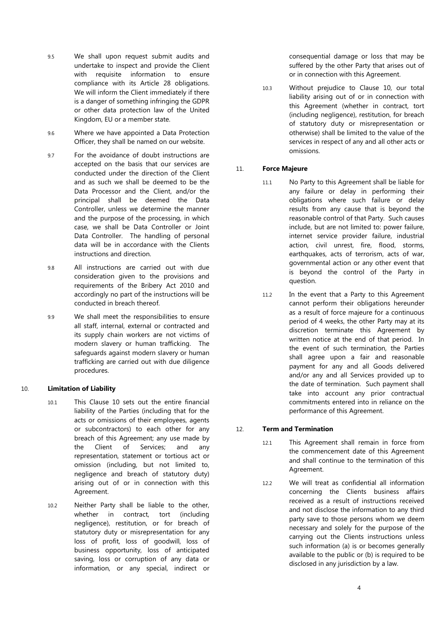- 9.5 We shall upon request submit audits and undertake to inspect and provide the Client with requisite information to ensure compliance with its Article 28 obligations. We will inform the Client immediately if there is a danger of something infringing the GDPR or other data protection law of the United Kingdom, EU or a member state.
- 9.6 Where we have appointed a Data Protection Officer, they shall be named on our website.
- 9.7 For the avoidance of doubt instructions are accepted on the basis that our services are conducted under the direction of the Client and as such we shall be deemed to be the Data Processor and the Client, and/or the principal shall be deemed the Data Controller, unless we determine the manner and the purpose of the processing, in which case, we shall be Data Controller or Joint Data Controller. The handling of personal data will be in accordance with the Clients instructions and direction.
- 9.8 All instructions are carried out with due consideration given to the provisions and requirements of the Bribery Act 2010 and accordingly no part of the instructions will be conducted in breach thereof.
- 9.9 We shall meet the responsibilities to ensure all staff, internal, external or contracted and its supply chain workers are not victims of modern slavery or human trafficking. The safeguards against modern slavery or human trafficking are carried out with due diligence procedures.

### 10. **Limitation of Liability**

- 10.1 This Clause 10 sets out the entire financial liability of the Parties (including that for the acts or omissions of their employees, agents or subcontractors) to each other for any breach of this Agreement; any use made by the Client of Services; and any representation, statement or tortious act or omission (including, but not limited to, negligence and breach of statutory duty) arising out of or in connection with this Agreement.
- 10.2 Neither Party shall be liable to the other, whether in contract, tort (including negligence), restitution, or for breach of statutory duty or misrepresentation for any loss of profit, loss of goodwill, loss of business opportunity, loss of anticipated saving, loss or corruption of any data or information, or any special, indirect or

consequential damage or loss that may be suffered by the other Party that arises out of or in connection with this Agreement.

10.3 Without prejudice to Clause 10, our total liability arising out of or in connection with this Agreement (whether in contract, tort (including negligence), restitution, for breach of statutory duty or misrepresentation or otherwise) shall be limited to the value of the services in respect of any and all other acts or omissions.

### 11. **Force Majeure**

- 11.1 No Party to this Agreement shall be liable for any failure or delay in performing their obligations where such failure or delay results from any cause that is beyond the reasonable control of that Party. Such causes include, but are not limited to: power failure, internet service provider failure, industrial action, civil unrest, fire, flood, storms, earthquakes, acts of terrorism, acts of war, governmental action or any other event that is beyond the control of the Party in question.
- 11.2 In the event that a Party to this Agreement cannot perform their obligations hereunder as a result of force majeure for a continuous period of 4 weeks, the other Party may at its discretion terminate this Agreement by written notice at the end of that period. In the event of such termination, the Parties shall agree upon a fair and reasonable payment for any and all Goods delivered and/or any and all Services provided up to the date of termination. Such payment shall take into account any prior contractual commitments entered into in reliance on the performance of this Agreement.

### 12. **Term and Termination**

- 12.1 This Agreement shall remain in force from the commencement date of this Agreement and shall continue to the termination of this Agreement.
- 12.2 We will treat as confidential all information concerning the Clients business affairs received as a result of instructions received and not disclose the information to any third party save to those persons whom we deem necessary and solely for the purpose of the carrying out the Clients instructions unless such information (a) is or becomes generally available to the public or (b) is required to be disclosed in any jurisdiction by a law.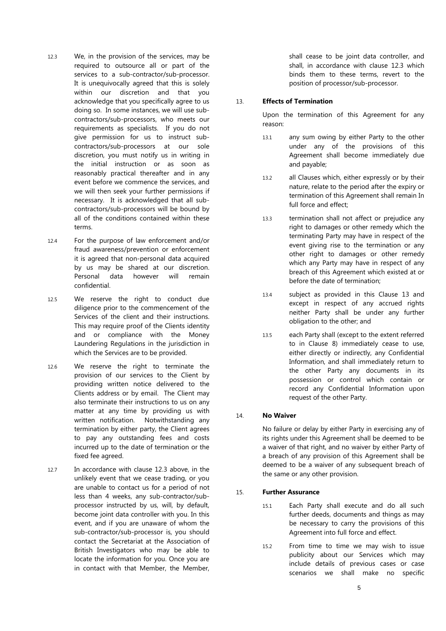- 12.3 We, in the provision of the services, may be required to outsource all or part of the services to a sub-contractor/sub-processor. It is unequivocally agreed that this is solely within our discretion and that you acknowledge that you specifically agree to us doing so. In some instances, we will use subcontractors/sub-processors, who meets our requirements as specialists. If you do not give permission for us to instruct subcontractors/sub-processors at our sole discretion, you must notify us in writing in the initial instruction or as soon as reasonably practical thereafter and in any event before we commence the services, and we will then seek your further permissions if necessary. It is acknowledged that all subcontractors/sub-processors will be bound by all of the conditions contained within these terms.
- 12.4 For the purpose of law enforcement and/or fraud awareness/prevention or enforcement it is agreed that non-personal data acquired by us may be shared at our discretion. Personal data however will remain confidential.
- 12.5 We reserve the right to conduct due diligence prior to the commencement of the Services of the client and their instructions. This may require proof of the Clients identity and or compliance with the Money Laundering Regulations in the jurisdiction in which the Services are to be provided.
- 12.6 We reserve the right to terminate the provision of our services to the Client by providing written notice delivered to the Clients address or by email. The Client may also terminate their instructions to us on any matter at any time by providing us with written notification. Notwithstanding any termination by either party, the Client agrees to pay any outstanding fees and costs incurred up to the date of termination or the fixed fee agreed.
- 12.7 In accordance with clause 12.3 above, in the unlikely event that we cease trading, or you are unable to contact us for a period of not less than 4 weeks, any sub-contractor/subprocessor instructed by us, will, by default, become joint data controller with you. In this event, and if you are unaware of whom the sub-contractor/sub-processor is, you should contact the Secretariat at the Association of British Investigators who may be able to locate the information for you. Once you are in contact with that Member, the Member,

shall cease to be joint data controller, and shall, in accordance with clause 12.3 which binds them to these terms, revert to the position of processor/sub-processor.

#### 13. **Effects of Termination**

Upon the termination of this Agreement for any reason:

- 13.1 any sum owing by either Party to the other under any of the provisions of this Agreement shall become immediately due and payable;
- 13.2 all Clauses which, either expressly or by their nature, relate to the period after the expiry or termination of this Agreement shall remain In full force and effect;
- 13.3 termination shall not affect or prejudice any right to damages or other remedy which the terminating Party may have in respect of the event giving rise to the termination or any other right to damages or other remedy which any Party may have in respect of any breach of this Agreement which existed at or before the date of termination;
- 13.4 subject as provided in this Clause 13 and except in respect of any accrued rights neither Party shall be under any further obligation to the other; and
- 13.5 each Party shall (except to the extent referred to in Clause 8) immediately cease to use, either directly or indirectly, any Confidential Information, and shall immediately return to the other Party any documents in its possession or control which contain or record any Confidential Information upon request of the other Party.

### 14. **No Waiver**

No failure or delay by either Party in exercising any of its rights under this Agreement shall be deemed to be a waiver of that right, and no waiver by either Party of a breach of any provision of this Agreement shall be deemed to be a waiver of any subsequent breach of the same or any other provision.

#### 15. **Further Assurance**

- 15.1 Each Party shall execute and do all such further deeds, documents and things as may be necessary to carry the provisions of this Agreement into full force and effect.
- 15.2 From time to time we may wish to issue publicity about our Services which may include details of previous cases or case scenarios we shall make no specific